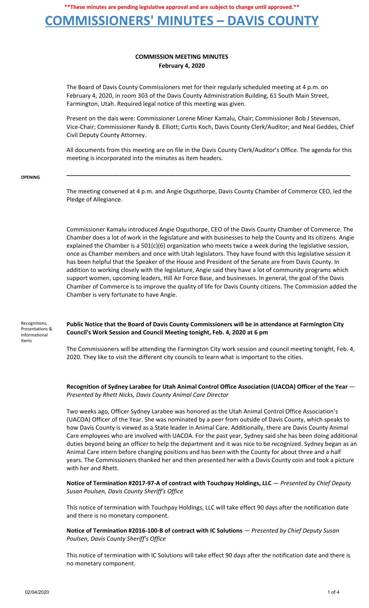### **COMMISSIONERS' MINUTES – DAVIS COUNTY**

### **COMMISSION MEETING MINUTES February 4, 2020**

The Board of Davis County Commissioners met for their regularly scheduled meeting at 4 p.m. on February 4, 2020, in room 303 of the Davis County Administration Building, 61 South Main Street, Farmington, Utah. Required legal notice of this meeting was given.

Present on the dais were: Commissioner Lorene Miner Kamalu, Chair; Commissioner Bob J Stevenson, Vice-Chair; Commissioner Randy B. Elliott; Curtis Koch, Davis County Clerk/Auditor; and Neal Geddes, Chief Civil Deputy County Attorney.

All documents from this meeting are on file in the Davis County Clerk/Auditor's Office. The agenda for this meeting is incorporated into the minutes as item headers.

**\_\_\_\_\_\_\_\_\_\_\_\_\_\_\_\_\_\_\_\_\_\_\_\_\_\_\_\_\_\_\_\_\_\_\_\_\_\_\_\_\_\_\_\_\_\_\_\_\_\_\_\_\_\_\_\_\_\_\_\_\_\_\_\_\_\_\_\_\_\_\_\_\_\_\_\_\_\_\_\_\_\_\_\_\_\_**

#### **OPENING**

The meeting convened at 4 p.m. and Angie Osguthorpe, Davis County Chamber of Commerce CEO, led the Pledge of Allegiance.

Commissioner Kamalu introduced Angie Osguthorpe, CEO of the Davis County Chamber of Commerce. The Chamber does a lot of work in the legislature and with businesses to help the County and its citizens. Angie explained the Chamber is a 501(c)(6) organization who meets twice a week during the legislative session, once as Chamber members and once with Utah legislators. They have found with this legislative session it has been helpful that the Speaker of the House and President of the Senate are from Davis County. In addition to working closely with the legislature, Angie said they have a lot of community programs which support women, upcoming leaders, Hill Air Force Base, and businesses. In general, the goal of the Davis Chamber of Commerce is to improve the quality of life for Davis County citizens. The Commission added the Chamber is very fortunate to have Angie.

Recognitions, Presentations & Informational Items

**Public Notice that the Board of Davis County Commissioners will be in attendance at Farmington City Council's Work Session and Council Meeting tonight, Feb. 4, 2020 at 6 pm**

The Commissioners will be attending the Farmington City work session and council meeting tonight, Feb. 4, 2020. They like to visit the different city councils to learn what is important to the cities.

#### **Recognition of Sydney Larabee for Utah Animal Control Office Association (UACOA) Officer of the Year** — *Presented by Rhett Nicks, Davis County Animal Care Director*

Two weeks ago, Officer Sydney Larabee was honored as the Utah Animal Control Office Association's (UACOA) Officer of the Year. She was nominated by a peer from outside of Davis County, which speaks to how Davis County is viewed as a State leader in Animal Care. Additionally, there are Davis County Animal Care employees who are involved with UACOA. For the past year, Sydney said she has been doing additional duties beyond being an officer to help the department and it was nice to be recognized. Sydney began as an Animal Care intern before changing positions and has been with the County for about three and a half years. The Commissioners thanked her and then presented her with a Davis County coin and took a picture with her and Rhett.

**Notice of Termination #2017-97-A of contract with Touchpay Holdings, LLC** — *Presented by Chief Deputy Susan Poulsen, Davis County Sheriff's Office*

This notice of termination with Touchpay Holdings, LLC will take effect 90 days after the notification date and there is no monetary component.

**Notice of Termination #2016-100-B of contract with IC Solutions** — *Presented by Chief Deputy Susan Poulsen, Davis County Sheriff's Office*

This notice of termination with IC Solutions will take effect 90 days after the notification date and there is no monetary component.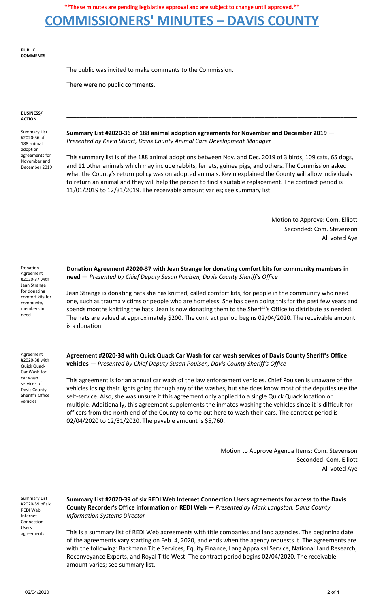## **COMMISSIONERS' MINUTES – DAVIS COUNTY**

**PUBLIC COMMENTS**

The public was invited to make comments to the Commission.

There were no public comments.

#### **BUSINESS/ ACTION**

Summary List #2020-36 of 188 animal adoption agreements for November and December 2019 **Summary List #2020-36 of 188 animal adoption agreements for November and December 2019** — *Presented by Kevin Stuart, Davis County Animal Care Development Manager*

This summary list is of the 188 animal adoptions between Nov. and Dec. 2019 of 3 birds, 109 cats, 65 dogs, and 11 other animals which may include rabbits, ferrets, guinea pigs, and others. The Commission asked what the County's return policy was on adopted animals. Kevin explained the County will allow individuals to return an animal and they will help the person to find a suitable replacement. The contract period is 11/01/2019 to 12/31/2019. The receivable amount varies; see summary list.

**\_\_\_\_\_\_\_\_\_\_\_\_\_\_\_\_\_\_\_\_\_\_\_\_\_\_\_\_\_\_\_\_\_\_\_\_\_\_\_\_\_\_\_\_\_\_\_\_\_\_\_\_\_\_\_\_\_\_\_\_\_\_\_\_\_\_\_\_\_\_\_\_\_\_\_\_\_\_\_\_\_\_\_\_\_\_\_\_**

**\_\_\_\_\_\_\_\_\_\_\_\_\_\_\_\_\_\_\_\_\_\_\_\_\_\_\_\_\_\_\_\_\_\_\_\_\_\_\_\_\_\_\_\_\_\_\_\_\_\_\_\_\_\_\_\_\_\_\_\_\_\_\_\_\_\_\_\_\_\_\_\_\_\_\_\_\_\_\_\_\_\_\_\_\_\_\_\_**

Motion to Approve: Com. Elliott Seconded: Com. Stevenson All voted Aye

Donation Agreement #2020-37 with Jean Strange for donating comfort kits for community members in need

Agreement #2020-38 with Quick Quack Car Wash for car wash services of Davis County Sheriff's Office vehicles

**Donation Agreement #2020-37 with Jean Strange for donating comfort kits for community members in need** — *Presented by Chief Deputy Susan Poulsen, Davis County Sheriff's Office*

Jean Strange is donating hats she has knitted, called comfort kits, for people in the community who need one, such as trauma victims or people who are homeless. She has been doing this for the past few years and spends months knitting the hats. Jean is now donating them to the Sheriff's Office to distribute as needed. The hats are valued at approximately \$200. The contract period begins 02/04/2020. The receivable amount is a donation.

**Agreement #2020-38 with Quick Quack Car Wash for car wash services of Davis County Sheriff's Office vehicles** — *Presented by Chief Deputy Susan Poulsen, Davis County Sheriff's Office*

This agreement is for an annual car wash of the law enforcement vehicles. Chief Poulsen is unaware of the vehicles losing their lights going through any of the washes, but she does know most of the deputies use the self-service. Also, she was unsure if this agreement only applied to a single Quick Quack location or multiple. Additionally, this agreement supplements the inmates washing the vehicles since it is difficult for officers from the north end of the County to come out here to wash their cars. The contract period is 02/04/2020 to 12/31/2020. The payable amount is \$5,760.

> Motion to Approve Agenda Items: Com. Stevenson Seconded: Com. Elliott All voted Aye

Summary List #2020-39 of six REDI Web Internet Connection Users agreements

**Summary List #2020-39 of six REDI Web Internet Connection Users agreements for access to the Davis County Recorder's Office information on REDI Web** — *Presented by Mark Langston, Davis County Information Systems Director*

This is a summary list of REDI Web agreements with title companies and land agencies. The beginning date of the agreements vary starting on Feb. 4, 2020, and ends when the agency requests it. The agreements are with the following: Backmann Title Services, Equity Finance, Lang Appraisal Service, National Land Research, Reconveyance Experts, and Royal Title West. The contract period begins 02/04/2020. The receivable amount varies; see summary list.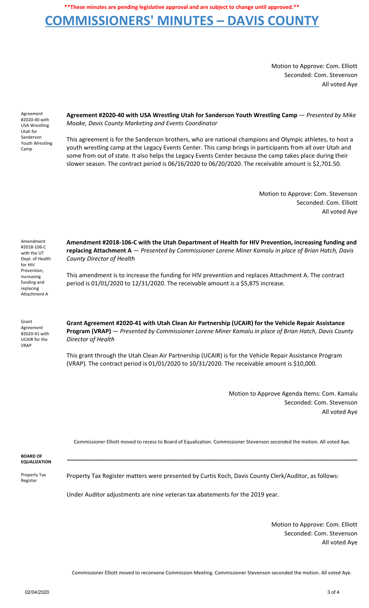## **COMMISSIONERS' MINUTES – DAVIS COUNTY**

Motion to Approve: Com. Elliott Seconded: Com. Stevenson All voted Aye

Agreement #2020-40 with USA Wrestling Utah for Sanderson Youth Wrestling Camp

**Agreement #2020-40 with USA Wrestling Utah for Sanderson Youth Wrestling Camp** — *Presented by Mike Moake, Davis County Marketing and Events Coordinator*

This agreement is for the Sanderson brothers, who are national champions and Olympic athletes, to host a youth wrestling camp at the Legacy Events Center. This camp brings in participants from all over Utah and some from out of state. It also helps the Legacy Events Center because the camp takes place during their slower season. The contract period is 06/16/2020 to 06/20/2020. The receivable amount is \$2,701.50.

> Motion to Approve: Com. Stevenson Seconded: Com. Elliott All voted Aye

Amendment #2018-106-C with the UT Dept. of Health for HIV Prevention, increasing funding and replacing Attachment A

**Amendment #2018-106-C with the Utah Department of Health for HIV Prevention, increasing funding and replacing Attachment A** — *Presented by Commissioner Lorene Miner Kamalu in place of Brian Hatch, Davis County Director of Health*

This amendment is to increase the funding for HIV prevention and replaces Attachment A. The contract period is 01/01/2020 to 12/31/2020. The receivable amount is a \$5,875 increase.

Grant Agreement #2020-41 with UCAIR for the VRAP

**Grant Agreement #2020-41 with Utah Clean Air Partnership (UCAIR) for the Vehicle Repair Assistance Program (VRAP)** — *Presented by Commissioner Lorene Miner Kamalu in place of Brian Hatch, Davis County Director of Health*

This grant through the Utah Clean Air Partnership (UCAIR) is for the Vehicle Repair Assistance Program (VRAP). The contract period is 01/01/2020 to 10/31/2020. The receivable amount is \$10,000.

> Motion to Approve Agenda Items: Com. Kamalu Seconded: Com. Stevenson All voted Aye

Commissioner Elliott moved to recess to Board of Equalization. Commissioner Stevenson seconded the motion. All voted Aye.

**\_\_\_\_\_\_\_\_\_\_\_\_\_\_\_\_\_\_\_\_\_\_\_\_\_\_\_\_\_\_\_\_\_\_\_\_\_\_\_\_\_\_\_\_\_\_\_\_\_\_\_\_\_\_\_\_\_\_\_\_\_\_\_\_\_\_\_\_\_\_\_\_\_\_\_\_\_\_\_\_\_\_\_\_\_\_\_\_**

**BOARD OF EQUALIZATION**

Property Tax Register

Property Tax Register matters were presented by Curtis Koch, Davis County Clerk/Auditor, as follows:

Under Auditor adjustments are nine veteran tax abatements for the 2019 year.

Motion to Approve: Com. Elliott Seconded: Com. Stevenson All voted Aye

Commissioner Elliott moved to reconvene Commission Meeting. Commissioner Stevenson seconded the motion. All voted Aye.